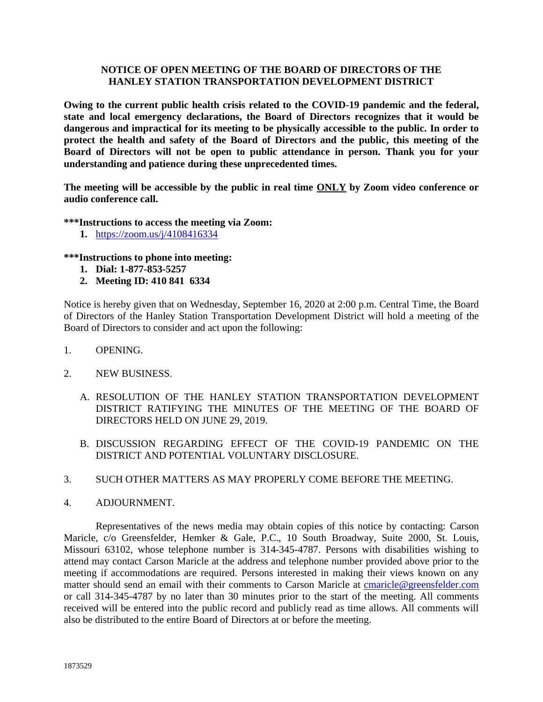## **NOTICE OF OPEN MEETING OF THE BOARD OF DIRECTORS OF THE HANLEY STATION TRANSPORTATION DEVELOPMENT DISTRICT**

**Owing to the current public health crisis related to the COVID-19 pandemic and the federal, state and local emergency declarations, the Board of Directors recognizes that it would be dangerous and impractical for its meeting to be physically accessible to the public. In order to protect the health and safety of the Board of Directors and the public, this meeting of the Board of Directors will not be open to public attendance in person. Thank you for your understanding and patience during these unprecedented times.**

**The meeting will be accessible by the public in real time ONLY by Zoom video conference or audio conference call.**

**\*\*\*Instructions to access the meeting via Zoom:**

**1.** <https://zoom.us/j/4108416334>

## **\*\*\*Instructions to phone into meeting:**

- **1. Dial: 1-877-853-5257**
- **2. Meeting ID: 410 841 6334**

Notice is hereby given that on Wednesday, September 16, 2020 at 2:00 p.m. Central Time, the Board of Directors of the Hanley Station Transportation Development District will hold a meeting of the Board of Directors to consider and act upon the following:

- 1. OPENING.
- 2. NEW BUSINESS.
	- A. RESOLUTION OF THE HANLEY STATION TRANSPORTATION DEVELOPMENT DISTRICT RATIFYING THE MINUTES OF THE MEETING OF THE BOARD OF DIRECTORS HELD ON JUNE 29, 2019.
	- B. DISCUSSION REGARDING EFFECT OF THE COVID-19 PANDEMIC ON THE DISTRICT AND POTENTIAL VOLUNTARY DISCLOSURE.
- 3. SUCH OTHER MATTERS AS MAY PROPERLY COME BEFORE THE MEETING.
- 4. ADJOURNMENT.

Representatives of the news media may obtain copies of this notice by contacting: Carson Maricle, c/o Greensfelder, Hemker & Gale, P.C., 10 South Broadway, Suite 2000, St. Louis, Missouri 63102, whose telephone number is 314-345-4787. Persons with disabilities wishing to attend may contact Carson Maricle at the address and telephone number provided above prior to the meeting if accommodations are required. Persons interested in making their views known on any matter should send an email with their comments to Carson Maricle at [cmaricle@greensfelder.com](mailto:cmaricle@greensfelder.com) or call 314-345-4787 by no later than 30 minutes prior to the start of the meeting. All comments received will be entered into the public record and publicly read as time allows. All comments will also be distributed to the entire Board of Directors at or before the meeting.